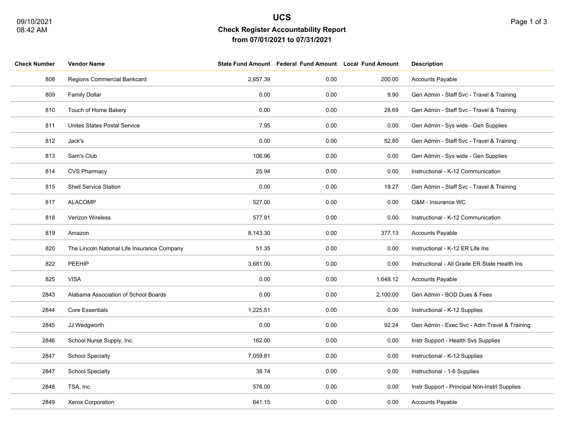## **UCS Check Register Accountability Report from 07/01/2021 to 07/31/2021**

|  | Page 1 of 3 |  |  |  |
|--|-------------|--|--|--|
|--|-------------|--|--|--|

| <b>Check Number</b> | <b>Vendor Name</b>                          |          | State Fund Amount Federal Fund Amount Local Fund Amount |          | <b>Description</b>                            |
|---------------------|---------------------------------------------|----------|---------------------------------------------------------|----------|-----------------------------------------------|
| 808                 | Regions Commercial Bankcard                 | 2,657.39 | 0.00                                                    | 200.00   | Accounts Payable                              |
| 809                 | <b>Family Dollar</b>                        | 0.00     | 0.00                                                    | 9.90     | Gen Admin - Staff Svc - Travel & Training     |
| 810                 | Touch of Home Bakery                        | 0.00     | 0.00                                                    | 28.69    | Gen Admin - Staff Svc - Travel & Training     |
| 811                 | <b>Unites States Postal Service</b>         | 7.95     | 0.00                                                    | 0.00     | Gen Admin - Sys wide - Gen Supplies           |
| 812                 | Jack's                                      | 0.00     | 0.00                                                    | 52.80    | Gen Admin - Staff Svc - Travel & Training     |
| 813                 | Sam's Club                                  | 106.96   | 0.00                                                    | 0.00     | Gen Admin - Sys wide - Gen Supplies           |
| 814                 | <b>CVS Pharmacy</b>                         | 25.94    | 0.00                                                    | 0.00     | Instructional - K-12 Communication            |
| 815                 | <b>Shell Service Station</b>                | 0.00     | 0.00                                                    | 19.27    | Gen Admin - Staff Svc - Travel & Training     |
| 817                 | <b>ALACOMP</b>                              | 527.00   | 0.00                                                    | 0.00     | O&M - Insurance WC                            |
| 818                 | Verizon Wireless                            | 577.91   | 0.00                                                    | 0.00     | Instructional - K-12 Communication            |
| 819                 | Amazon                                      | 8,143.30 | 0.00                                                    | 377.13   | <b>Accounts Payable</b>                       |
| 820                 | The Lincoln National Life Insurance Company | 51.35    | 0.00                                                    | 0.00     | Instructional - K-12 ER Life Ins              |
| 822                 | PEEHIP                                      | 3,681.00 | 0.00                                                    | 0.00     | Instructional - All Grade ER State Health Ins |
| 825                 | <b>VISA</b>                                 | 0.00     | 0.00                                                    | 1,648.12 | <b>Accounts Payable</b>                       |
| 2843                | Alabama Association of School Boards        | 0.00     | 0.00                                                    | 2,100.00 | Gen Admin - BOD Dues & Fees                   |
| 2844                | Core Essentials                             | 1,225.51 | 0.00                                                    | 0.00     | Instructional - K-12 Supplies                 |
| 2845                | JJ Wedgworth                                | 0.00     | 0.00                                                    | 92.24    | Gen Admin - Exec Svc - Adm Travel & Training  |
| 2846                | School Nurse Supply, Inc.                   | 162.00   | 0.00                                                    | 0.00     | Instr Support - Health Svs Supplies           |
| 2847                | <b>School Specialty</b>                     | 7,059.81 | 0.00                                                    | 0.00     | Instructional - K-12 Supplies                 |
| 2847                | <b>School Specialty</b>                     | 38.74    | 0.00                                                    | 0.00     | Instructional - 1-6 Supplies                  |
| 2848                | TSA, Inc.                                   | 576.00   | 0.00                                                    | 0.00     | Instr Support - Principal Non-Instrl Supplies |
| 2849                | Xerox Corporation                           | 641.15   | 0.00                                                    | 0.00     | <b>Accounts Payable</b>                       |
|                     |                                             |          |                                                         |          |                                               |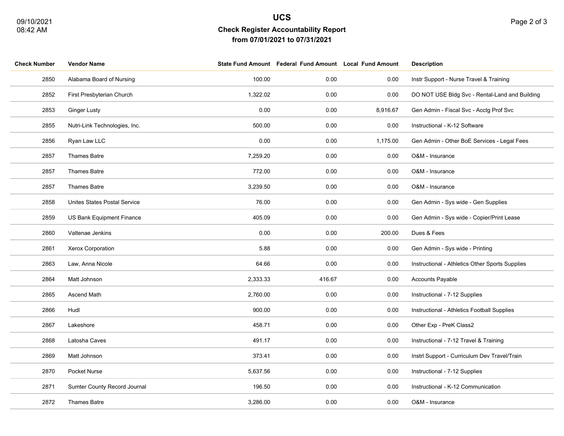## **UCS Check Register Accountability Report from 07/01/2021 to 07/31/2021**

| Page 2 of 3 |  |  |  |
|-------------|--|--|--|
|-------------|--|--|--|

| <b>Check Number</b> | <b>Vendor Name</b>            |          | State Fund Amount Federal Fund Amount Local Fund Amount |          | <b>Description</b>                              |
|---------------------|-------------------------------|----------|---------------------------------------------------------|----------|-------------------------------------------------|
| 2850                | Alabama Board of Nursing      | 100.00   | 0.00                                                    | 0.00     | Instr Support - Nurse Travel & Training         |
| 2852                | First Presbyterian Church     | 1,322.02 | 0.00                                                    | 0.00     | DO NOT USE Bldg Svc - Rental-Land and Building  |
| 2853                | <b>Ginger Lusty</b>           | 0.00     | 0.00                                                    | 8,916.67 | Gen Admin - Fiscal Svc - Acctg Prof Svc         |
| 2855                | Nutri-Link Technologies, Inc. | 500.00   | 0.00                                                    | 0.00     | Instructional - K-12 Software                   |
| 2856                | Ryan Law LLC                  | 0.00     | 0.00                                                    | 1,175.00 | Gen Admin - Other BoE Services - Legal Fees     |
| 2857                | Thames Batre                  | 7,259.20 | 0.00                                                    | 0.00     | O&M - Insurance                                 |
| 2857                | Thames Batre                  | 772.00   | 0.00                                                    | 0.00     | O&M - Insurance                                 |
| 2857                | Thames Batre                  | 3,239.50 | 0.00                                                    | 0.00     | O&M - Insurance                                 |
| 2858                | Unites States Postal Service  | 76.00    | 0.00                                                    | 0.00     | Gen Admin - Sys wide - Gen Supplies             |
| 2859                | US Bank Equipment Finance     | 405.09   | 0.00                                                    | 0.00     | Gen Admin - Sys wide - Copier/Print Lease       |
| 2860                | Valtenae Jenkins              | 0.00     | 0.00                                                    | 200.00   | Dues & Fees                                     |
| 2861                | Xerox Corporation             | 5.88     | 0.00                                                    | 0.00     | Gen Admin - Sys wide - Printing                 |
| 2863                | Law, Anna Nicole              | 64.66    | 0.00                                                    | 0.00     | Instructional - Athletics Other Sports Supplies |
| 2864                | Matt Johnson                  | 2,333.33 | 416.67                                                  | 0.00     | Accounts Payable                                |
| 2865                | Ascend Math                   | 2,760.00 | 0.00                                                    | 0.00     | Instructional - 7-12 Supplies                   |
| 2866                | Hudl                          | 900.00   | 0.00                                                    | 0.00     | Instructional - Athletics Football Supplies     |
| 2867                | Lakeshore                     | 458.71   | 0.00                                                    | 0.00     | Other Exp - PreK Class2                         |
| 2868                | Latosha Caves                 | 491.17   | 0.00                                                    | 0.00     | Instructional - 7-12 Travel & Training          |
| 2869                | Matt Johnson                  | 373.41   | 0.00                                                    | 0.00     | Instrl Support - Curriculum Dev Travel/Train    |
| 2870                | Pocket Nurse                  | 5,637.56 | 0.00                                                    | 0.00     | Instructional - 7-12 Supplies                   |
| 2871                | Sumter County Record Journal  | 196.50   | 0.00                                                    | 0.00     | Instructional - K-12 Communication              |
| 2872                | Thames Batre                  | 3,286.00 | 0.00                                                    | 0.00     | O&M - Insurance                                 |
|                     |                               |          |                                                         |          |                                                 |